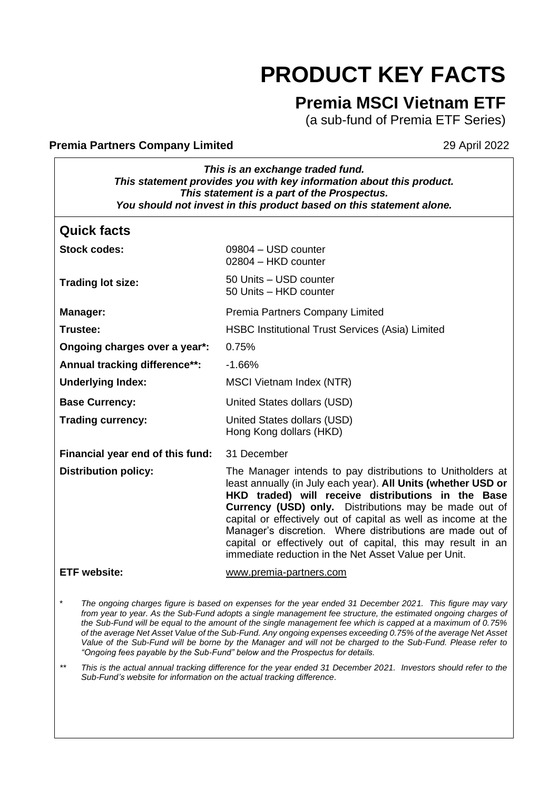# **PRODUCT KEY FACTS**

# **Premia MSCI Vietnam ETF**

(a sub-fund of Premia ETF Series)

#### **Premia Partners Company Limited 29 April 2022**

*This is an exchange traded fund. This statement provides you with key information about this product. This statement is a part of the Prospectus. You should not invest in this product based on this statement alone.*

| <b>Quick facts</b>               |                                                                                                                                                                                                                                                                                                                                                                                                                                                                                                   |
|----------------------------------|---------------------------------------------------------------------------------------------------------------------------------------------------------------------------------------------------------------------------------------------------------------------------------------------------------------------------------------------------------------------------------------------------------------------------------------------------------------------------------------------------|
| Stock codes:                     | 09804 - USD counter<br>02804 - HKD counter                                                                                                                                                                                                                                                                                                                                                                                                                                                        |
| <b>Trading lot size:</b>         | 50 Units - USD counter<br>50 Units - HKD counter                                                                                                                                                                                                                                                                                                                                                                                                                                                  |
| Manager:                         | Premia Partners Company Limited                                                                                                                                                                                                                                                                                                                                                                                                                                                                   |
| Trustee:                         | <b>HSBC Institutional Trust Services (Asia) Limited</b>                                                                                                                                                                                                                                                                                                                                                                                                                                           |
| Ongoing charges over a year*:    | 0.75%                                                                                                                                                                                                                                                                                                                                                                                                                                                                                             |
| Annual tracking difference**:    | $-1.66%$                                                                                                                                                                                                                                                                                                                                                                                                                                                                                          |
| <b>Underlying Index:</b>         | MSCI Vietnam Index (NTR)                                                                                                                                                                                                                                                                                                                                                                                                                                                                          |
| <b>Base Currency:</b>            | United States dollars (USD)                                                                                                                                                                                                                                                                                                                                                                                                                                                                       |
| <b>Trading currency:</b>         | United States dollars (USD)<br>Hong Kong dollars (HKD)                                                                                                                                                                                                                                                                                                                                                                                                                                            |
| Financial year end of this fund: | 31 December                                                                                                                                                                                                                                                                                                                                                                                                                                                                                       |
| <b>Distribution policy:</b>      | The Manager intends to pay distributions to Unitholders at<br>least annually (in July each year). All Units (whether USD or<br>HKD traded) will receive distributions in the Base<br>Currency (USD) only. Distributions may be made out of<br>capital or effectively out of capital as well as income at the<br>Manager's discretion. Where distributions are made out of<br>capital or effectively out of capital, this may result in an<br>immediate reduction in the Net Asset Value per Unit. |
| <b>ETF</b> website:              | www.premia-partners.com                                                                                                                                                                                                                                                                                                                                                                                                                                                                           |

\* *The ongoing charges figure is based on expenses for the year ended 31 December 2021. This figure may vary*  from year to year. As the Sub-Fund adopts a single management fee structure, the estimated ongoing charges of *the Sub-Fund will be equal to the amount of the single management fee which is capped at a maximum of 0.75% of the average Net Asset Value of the Sub-Fund. Any ongoing expenses exceeding 0.75% of the average Net Asset Value of the Sub-Fund will be borne by the Manager and will not be charged to the Sub-Fund. Please refer to "Ongoing fees payable by the Sub-Fund" below and the Prospectus for details.*

*\*\* This is the actual annual tracking difference for the year ended 31 December 2021. Investors should refer to the Sub-Fund's website for information on the actual tracking difference*.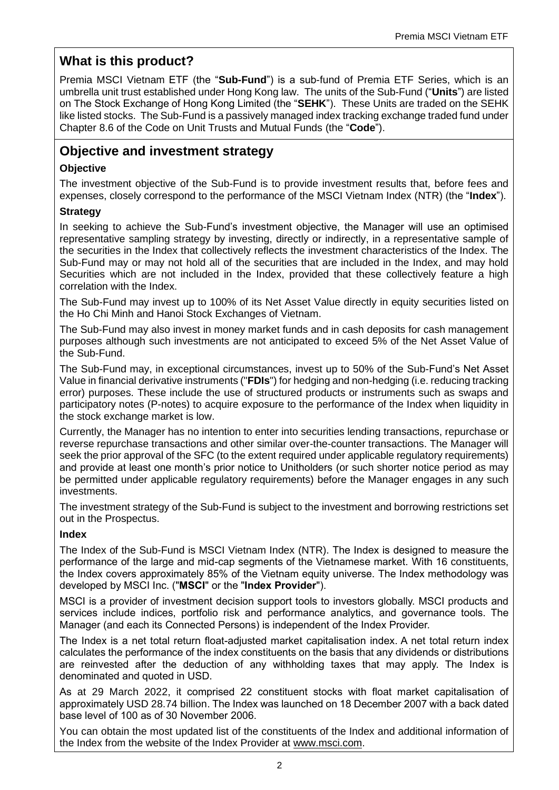# **What is this product?**

Premia MSCI Vietnam ETF (the "**Sub-Fund**") is a sub-fund of Premia ETF Series, which is an umbrella unit trust established under Hong Kong law. The units of the Sub-Fund ("**Units**") are listed on The Stock Exchange of Hong Kong Limited (the "**SEHK**"). These Units are traded on the SEHK like listed stocks. The Sub-Fund is a passively managed index tracking exchange traded fund under Chapter 8.6 of the Code on Unit Trusts and Mutual Funds (the "**Code**").

# **Objective and investment strategy**

## **Objective**

The investment objective of the Sub-Fund is to provide investment results that, before fees and expenses, closely correspond to the performance of the MSCI Vietnam Index (NTR) (the "**Index**").

## **Strategy**

In seeking to achieve the Sub-Fund's investment objective, the Manager will use an optimised representative sampling strategy by investing, directly or indirectly, in a representative sample of the securities in the Index that collectively reflects the investment characteristics of the Index. The Sub-Fund may or may not hold all of the securities that are included in the Index, and may hold Securities which are not included in the Index, provided that these collectively feature a high correlation with the Index.

The Sub-Fund may invest up to 100% of its Net Asset Value directly in equity securities listed on the Ho Chi Minh and Hanoi Stock Exchanges of Vietnam.

The Sub-Fund may also invest in money market funds and in cash deposits for cash management purposes although such investments are not anticipated to exceed 5% of the Net Asset Value of the Sub-Fund.

The Sub-Fund may, in exceptional circumstances, invest up to 50% of the Sub-Fund's Net Asset Value in financial derivative instruments ("**FDIs**") for hedging and non-hedging (i.e. reducing tracking error) purposes. These include the use of structured products or instruments such as swaps and participatory notes (P-notes) to acquire exposure to the performance of the Index when liquidity in the stock exchange market is low.

Currently, the Manager has no intention to enter into securities lending transactions, repurchase or reverse repurchase transactions and other similar over-the-counter transactions. The Manager will seek the prior approval of the SFC (to the extent required under applicable regulatory requirements) and provide at least one month's prior notice to Unitholders (or such shorter notice period as may be permitted under applicable regulatory requirements) before the Manager engages in any such investments.

The investment strategy of the Sub-Fund is subject to the investment and borrowing restrictions set out in the Prospectus.

## **Index**

The Index of the Sub-Fund is MSCI Vietnam Index (NTR). The Index is designed to measure the performance of the large and mid-cap segments of the Vietnamese market. With 16 constituents, the Index covers approximately 85% of the Vietnam equity universe. The Index methodology was developed by MSCI Inc. ("**MSCI**" or the "**Index Provider**").

MSCI is a provider of investment decision support tools to investors globally. MSCI products and services include indices, portfolio risk and performance analytics, and governance tools. The Manager (and each its Connected Persons) is independent of the Index Provider.

The Index is a net total return float-adjusted market capitalisation index. A net total return index calculates the performance of the index constituents on the basis that any dividends or distributions are reinvested after the deduction of any withholding taxes that may apply. The Index is denominated and quoted in USD.

As at 29 March 2022, it comprised 22 constituent stocks with float market capitalisation of approximately USD 28.74 billion. The Index was launched on 18 December 2007 with a back dated base level of 100 as of 30 November 2006.

You can obtain the most updated list of the constituents of the Index and additional information of the Index from the website of the Index Provider at www.msci.com.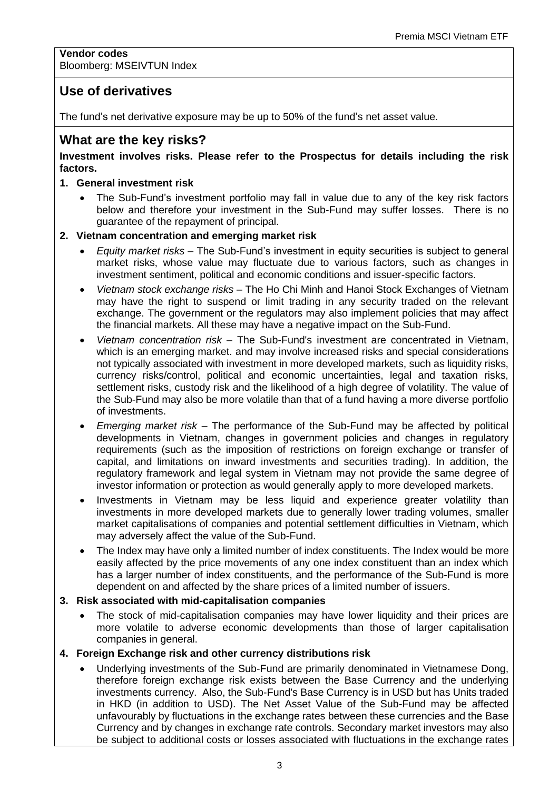#### **Vendor codes** Bloomberg: MSEIVTUN Index

## **Use of derivatives**

The fund's net derivative exposure may be up to 50% of the fund's net asset value.

## **What are the key risks?**

#### **Investment involves risks. Please refer to the Prospectus for details including the risk factors.**

#### **1. General investment risk**

• The Sub-Fund's investment portfolio may fall in value due to any of the key risk factors below and therefore your investment in the Sub-Fund may suffer losses. There is no guarantee of the repayment of principal.

#### **2. Vietnam concentration and emerging market risk**

- *Equity market risks*  The Sub-Fund's investment in equity securities is subject to general market risks, whose value may fluctuate due to various factors, such as changes in investment sentiment, political and economic conditions and issuer-specific factors.
- *Vietnam stock exchange risks* The Ho Chi Minh and Hanoi Stock Exchanges of Vietnam may have the right to suspend or limit trading in any security traded on the relevant exchange. The government or the regulators may also implement policies that may affect the financial markets. All these may have a negative impact on the Sub-Fund.
- *Vietnam concentration risk* The Sub-Fund's investment are concentrated in Vietnam, which is an emerging market. and may involve increased risks and special considerations not typically associated with investment in more developed markets, such as liquidity risks, currency risks/control, political and economic uncertainties, legal and taxation risks, settlement risks, custody risk and the likelihood of a high degree of volatility. The value of the Sub-Fund may also be more volatile than that of a fund having a more diverse portfolio of investments.
- *Emerging market risk* The performance of the Sub-Fund may be affected by political developments in Vietnam, changes in government policies and changes in regulatory requirements (such as the imposition of restrictions on foreign exchange or transfer of capital, and limitations on inward investments and securities trading). In addition, the regulatory framework and legal system in Vietnam may not provide the same degree of investor information or protection as would generally apply to more developed markets.
- Investments in Vietnam may be less liquid and experience greater volatility than investments in more developed markets due to generally lower trading volumes, smaller market capitalisations of companies and potential settlement difficulties in Vietnam, which may adversely affect the value of the Sub-Fund.
- The Index may have only a limited number of index constituents. The Index would be more easily affected by the price movements of any one index constituent than an index which has a larger number of index constituents, and the performance of the Sub-Fund is more dependent on and affected by the share prices of a limited number of issuers.

#### **3. Risk associated with mid-capitalisation companies**

• The stock of mid-capitalisation companies may have lower liquidity and their prices are more volatile to adverse economic developments than those of larger capitalisation companies in general.

#### **4. Foreign Exchange risk and other currency distributions risk**

• Underlying investments of the Sub-Fund are primarily denominated in Vietnamese Dong, therefore foreign exchange risk exists between the Base Currency and the underlying investments currency. Also, the Sub-Fund's Base Currency is in USD but has Units traded in HKD (in addition to USD). The Net Asset Value of the Sub-Fund may be affected unfavourably by fluctuations in the exchange rates between these currencies and the Base Currency and by changes in exchange rate controls. Secondary market investors may also be subject to additional costs or losses associated with fluctuations in the exchange rates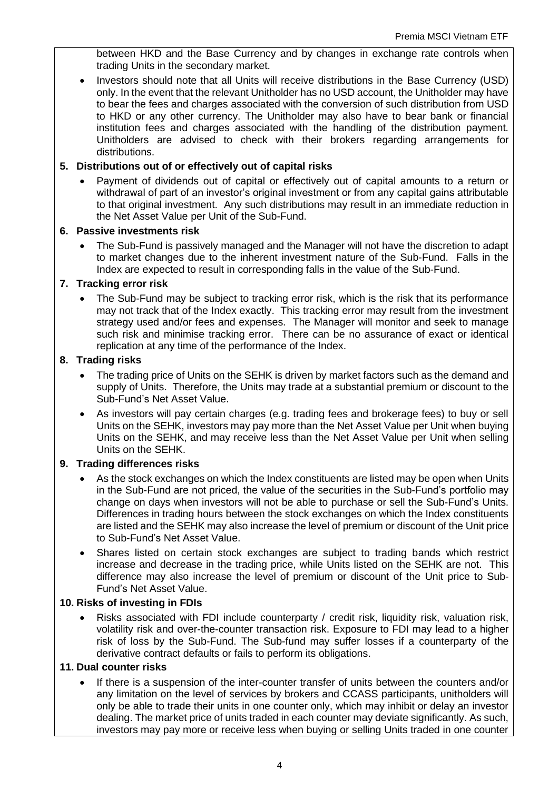between HKD and the Base Currency and by changes in exchange rate controls when trading Units in the secondary market.

• Investors should note that all Units will receive distributions in the Base Currency (USD) only. In the event that the relevant Unitholder has no USD account, the Unitholder may have to bear the fees and charges associated with the conversion of such distribution from USD to HKD or any other currency. The Unitholder may also have to bear bank or financial institution fees and charges associated with the handling of the distribution payment. Unitholders are advised to check with their brokers regarding arrangements for distributions.

#### **5. Distributions out of or effectively out of capital risks**

• Payment of dividends out of capital or effectively out of capital amounts to a return or withdrawal of part of an investor's original investment or from any capital gains attributable to that original investment. Any such distributions may result in an immediate reduction in the Net Asset Value per Unit of the Sub-Fund.

#### **6. Passive investments risk**

• The Sub-Fund is passively managed and the Manager will not have the discretion to adapt to market changes due to the inherent investment nature of the Sub-Fund. Falls in the Index are expected to result in corresponding falls in the value of the Sub-Fund.

#### **7. Tracking error risk**

• The Sub-Fund may be subject to tracking error risk, which is the risk that its performance may not track that of the Index exactly. This tracking error may result from the investment strategy used and/or fees and expenses. The Manager will monitor and seek to manage such risk and minimise tracking error. There can be no assurance of exact or identical replication at any time of the performance of the Index.

#### **8. Trading risks**

- The trading price of Units on the SEHK is driven by market factors such as the demand and supply of Units. Therefore, the Units may trade at a substantial premium or discount to the Sub-Fund's Net Asset Value.
- As investors will pay certain charges (e.g. trading fees and brokerage fees) to buy or sell Units on the SEHK, investors may pay more than the Net Asset Value per Unit when buying Units on the SEHK, and may receive less than the Net Asset Value per Unit when selling Units on the SEHK.

#### **9. Trading differences risks**

- As the stock exchanges on which the Index constituents are listed may be open when Units in the Sub-Fund are not priced, the value of the securities in the Sub-Fund's portfolio may change on days when investors will not be able to purchase or sell the Sub-Fund's Units. Differences in trading hours between the stock exchanges on which the Index constituents are listed and the SEHK may also increase the level of premium or discount of the Unit price to Sub-Fund's Net Asset Value.
- Shares listed on certain stock exchanges are subject to trading bands which restrict increase and decrease in the trading price, while Units listed on the SEHK are not. This difference may also increase the level of premium or discount of the Unit price to Sub-Fund's Net Asset Value.

#### **10. Risks of investing in FDIs**

• Risks associated with FDI include counterparty / credit risk, liquidity risk, valuation risk, volatility risk and over-the-counter transaction risk. Exposure to FDI may lead to a higher risk of loss by the Sub-Fund. The Sub-fund may suffer losses if a counterparty of the derivative contract defaults or fails to perform its obligations.

#### **11. Dual counter risks**

• If there is a suspension of the inter-counter transfer of units between the counters and/or any limitation on the level of services by brokers and CCASS participants, unitholders will only be able to trade their units in one counter only, which may inhibit or delay an investor dealing. The market price of units traded in each counter may deviate significantly. As such, investors may pay more or receive less when buying or selling Units traded in one counter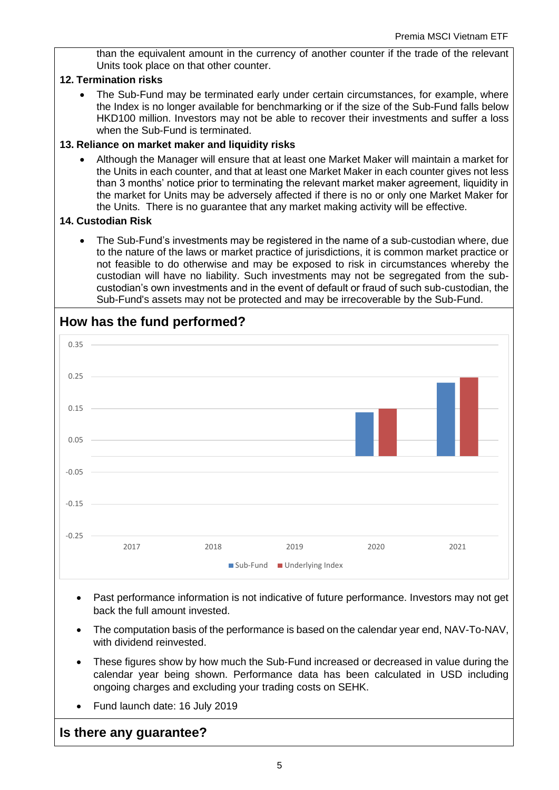than the equivalent amount in the currency of another counter if the trade of the relevant Units took place on that other counter.

#### **12. Termination risks**

• The Sub-Fund may be terminated early under certain circumstances, for example, where the Index is no longer available for benchmarking or if the size of the Sub-Fund falls below HKD100 million. Investors may not be able to recover their investments and suffer a loss when the Sub-Fund is terminated.

#### **13. Reliance on market maker and liquidity risks**

• Although the Manager will ensure that at least one Market Maker will maintain a market for the Units in each counter, and that at least one Market Maker in each counter gives not less than 3 months' notice prior to terminating the relevant market maker agreement, liquidity in the market for Units may be adversely affected if there is no or only one Market Maker for the Units. There is no guarantee that any market making activity will be effective.

#### **14. Custodian Risk**

• The Sub-Fund's investments may be registered in the name of a sub-custodian where, due to the nature of the laws or market practice of jurisdictions, it is common market practice or not feasible to do otherwise and may be exposed to risk in circumstances whereby the custodian will have no liability. Such investments may not be segregated from the subcustodian's own investments and in the event of default or fraud of such sub-custodian, the Sub-Fund's assets may not be protected and may be irrecoverable by the Sub-Fund.



## **How has the fund performed?**

- Past performance information is not indicative of future performance. Investors may not get back the full amount invested.
- The computation basis of the performance is based on the calendar year end, NAV-To-NAV, with dividend reinvested.
- These figures show by how much the Sub-Fund increased or decreased in value during the calendar year being shown. Performance data has been calculated in USD including ongoing charges and excluding your trading costs on SEHK.
- Fund launch date: 16 July 2019

## **Is there any guarantee?**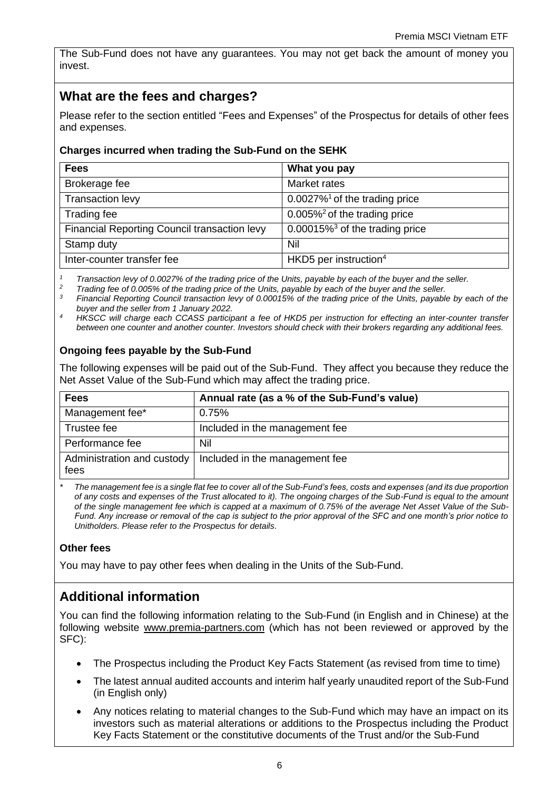The Sub-Fund does not have any guarantees. You may not get back the amount of money you invest.

# **What are the fees and charges?**

Please refer to the section entitled "Fees and Expenses" of the Prospectus for details of other fees and expenses.

## **Charges incurred when trading the Sub-Fund on the SEHK**

| <b>Fees</b>                                  | What you pay                                 |
|----------------------------------------------|----------------------------------------------|
| Brokerage fee                                | Market rates                                 |
| <b>Transaction levy</b>                      | $0.0027\%$ <sup>1</sup> of the trading price |
| Trading fee                                  | $0.005\%$ <sup>2</sup> of the trading price  |
| Financial Reporting Council transaction levy | 0.00015% $3$ of the trading price            |
| Stamp duty                                   | Nil                                          |
| Inter-counter transfer fee                   | HKD5 per instruction <sup>4</sup>            |

*<sup>1</sup> Transaction levy of 0.0027% of the trading price of the Units, payable by each of the buyer and the seller.*

*<sup>2</sup> Trading fee of 0.005% of the trading price of the Units, payable by each of the buyer and the seller.*

*<sup>3</sup> Financial Reporting Council transaction levy of 0.00015% of the trading price of the Units, payable by each of the buyer and the seller from 1 January 2022.*

*<sup>4</sup>HKSCC will charge each CCASS participant a fee of HKD5 per instruction for effecting an inter-counter transfer between one counter and another counter. Investors should check with their brokers regarding any additional fees.*

## **Ongoing fees payable by the Sub-Fund**

The following expenses will be paid out of the Sub-Fund. They affect you because they reduce the Net Asset Value of the Sub-Fund which may affect the trading price.

| <b>Fees</b>     | Annual rate (as a % of the Sub-Fund's value)                |
|-----------------|-------------------------------------------------------------|
| Management fee* | 0.75%                                                       |
| Trustee fee     | Included in the management fee                              |
| Performance fee | Nil                                                         |
| fees            | Administration and custody   Included in the management fee |

*\* The management fee is a single flat fee to cover all of the Sub-Fund's fees, costs and expenses (and its due proportion of any costs and expenses of the Trust allocated to it). The ongoing charges of the Sub-Fund is equal to the amount of the single management fee which is capped at a maximum of 0.75% of the average Net Asset Value of the Sub-Fund. Any increase or removal of the cap is subject to the prior approval of the SFC and one month's prior notice to Unitholders. Please refer to the Prospectus for details.*

#### **Other fees**

You may have to pay other fees when dealing in the Units of the Sub-Fund.

# **Additional information**

You can find the following information relating to the Sub-Fund (in English and in Chinese) at the following website [www.premia-partners.com](http://www.premia-partners.com/) (which has not been reviewed or approved by the SFC):

- The Prospectus including the Product Key Facts Statement (as revised from time to time)
- The latest annual audited accounts and interim half yearly unaudited report of the Sub-Fund (in English only)
- Any notices relating to material changes to the Sub-Fund which may have an impact on its investors such as material alterations or additions to the Prospectus including the Product Key Facts Statement or the constitutive documents of the Trust and/or the Sub-Fund